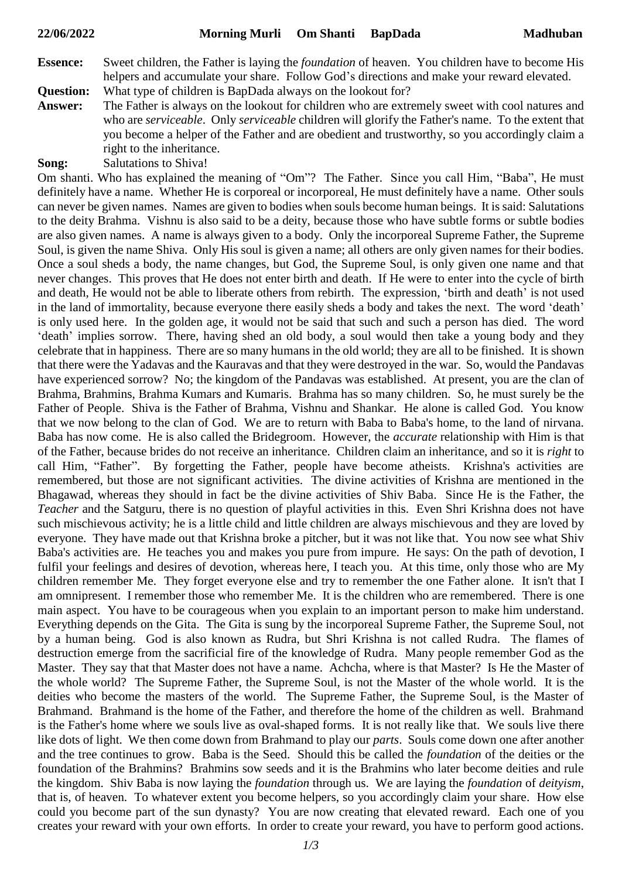- **Essence:** Sweet children, the Father is laying the *foundation* of heaven. You children have to become His helpers and accumulate your share. Follow God's directions and make your reward elevated.
- **Question:** What type of children is BapDada always on the lookout for?
- **Answer:** The Father is always on the lookout for children who are extremely sweet with cool natures and who are *serviceable*. Only *serviceable* children will glorify the Father's name. To the extent that you become a helper of the Father and are obedient and trustworthy, so you accordingly claim a right to the inheritance.
- **Song:** Salutations to Shiva!

Om shanti. Who has explained the meaning of "Om"? The Father. Since you call Him, "Baba", He must definitely have a name. Whether He is corporeal or incorporeal, He must definitely have a name. Other souls can never be given names. Names are given to bodies when souls become human beings. It is said: Salutations to the deity Brahma. Vishnu is also said to be a deity, because those who have subtle forms or subtle bodies are also given names. A name is always given to a body. Only the incorporeal Supreme Father, the Supreme Soul, is given the name Shiva. Only His soul is given a name; all others are only given names for their bodies. Once a soul sheds a body, the name changes, but God, the Supreme Soul, is only given one name and that never changes. This proves that He does not enter birth and death. If He were to enter into the cycle of birth and death, He would not be able to liberate others from rebirth. The expression, 'birth and death' is not used in the land of immortality, because everyone there easily sheds a body and takes the next. The word 'death' is only used here. In the golden age, it would not be said that such and such a person has died. The word 'death' implies sorrow. There, having shed an old body, a soul would then take a young body and they celebrate that in happiness. There are so many humans in the old world; they are all to be finished. It is shown that there were the Yadavas and the Kauravas and that they were destroyed in the war. So, would the Pandavas have experienced sorrow? No; the kingdom of the Pandavas was established. At present, you are the clan of Brahma, Brahmins, Brahma Kumars and Kumaris. Brahma has so many children. So, he must surely be the Father of People. Shiva is the Father of Brahma, Vishnu and Shankar. He alone is called God. You know that we now belong to the clan of God. We are to return with Baba to Baba's home, to the land of nirvana. Baba has now come. He is also called the Bridegroom. However, the *accurate* relationship with Him is that of the Father, because brides do not receive an inheritance. Children claim an inheritance, and so it is *right* to call Him, "Father". By forgetting the Father, people have become atheists. Krishna's activities are remembered, but those are not significant activities. The divine activities of Krishna are mentioned in the Bhagawad, whereas they should in fact be the divine activities of Shiv Baba. Since He is the Father, the *Teacher* and the Satguru, there is no question of playful activities in this. Even Shri Krishna does not have such mischievous activity; he is a little child and little children are always mischievous and they are loved by everyone. They have made out that Krishna broke a pitcher, but it was not like that. You now see what Shiv Baba's activities are. He teaches you and makes you pure from impure. He says: On the path of devotion, I fulfil your feelings and desires of devotion, whereas here, I teach you. At this time, only those who are My children remember Me. They forget everyone else and try to remember the one Father alone. It isn't that I am omnipresent. I remember those who remember Me. It is the children who are remembered. There is one main aspect. You have to be courageous when you explain to an important person to make him understand. Everything depends on the Gita. The Gita is sung by the incorporeal Supreme Father, the Supreme Soul, not by a human being. God is also known as Rudra, but Shri Krishna is not called Rudra. The flames of destruction emerge from the sacrificial fire of the knowledge of Rudra. Many people remember God as the Master. They say that that Master does not have a name. Achcha, where is that Master? Is He the Master of the whole world? The Supreme Father, the Supreme Soul, is not the Master of the whole world. It is the deities who become the masters of the world. The Supreme Father, the Supreme Soul, is the Master of Brahmand. Brahmand is the home of the Father, and therefore the home of the children as well. Brahmand is the Father's home where we souls live as oval-shaped forms. It is not really like that. We souls live there like dots of light. We then come down from Brahmand to play our *parts*. Souls come down one after another and the tree continues to grow. Baba is the Seed. Should this be called the *foundation* of the deities or the foundation of the Brahmins? Brahmins sow seeds and it is the Brahmins who later become deities and rule the kingdom. Shiv Baba is now laying the *foundation* through us. We are laying the *foundation* of *deityism*, that is, of heaven. To whatever extent you become helpers, so you accordingly claim your share. How else could you become part of the sun dynasty? You are now creating that elevated reward. Each one of you creates your reward with your own efforts. In order to create your reward, you have to perform good actions.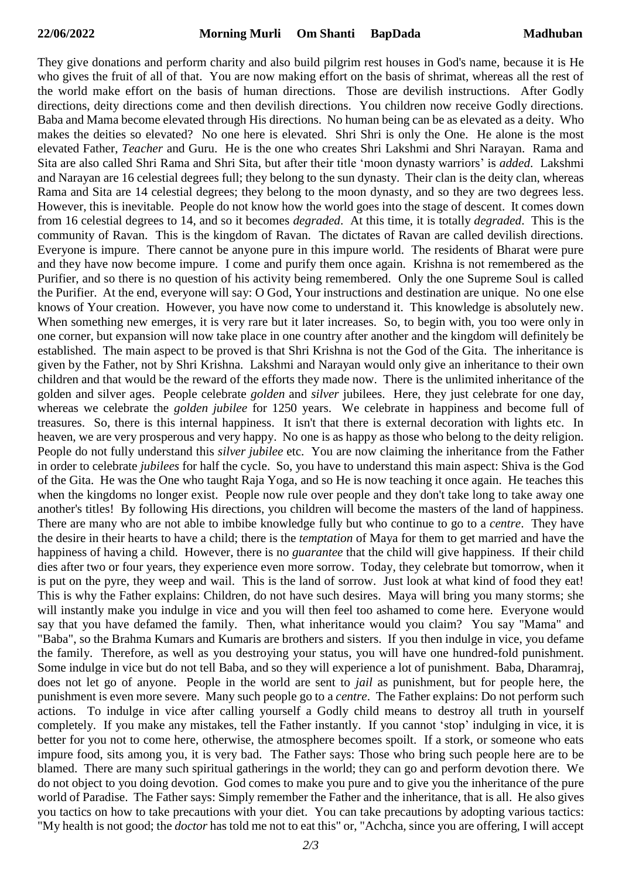They give donations and perform charity and also build pilgrim rest houses in God's name, because it is He who gives the fruit of all of that. You are now making effort on the basis of shrimat, whereas all the rest of the world make effort on the basis of human directions. Those are devilish instructions. After Godly directions, deity directions come and then devilish directions. You children now receive Godly directions. Baba and Mama become elevated through His directions. No human being can be as elevated as a deity. Who makes the deities so elevated? No one here is elevated. Shri Shri is only the One. He alone is the most elevated Father, *Teacher* and Guru. He is the one who creates Shri Lakshmi and Shri Narayan. Rama and Sita are also called Shri Rama and Shri Sita, but after their title 'moon dynasty warriors' is *added*. Lakshmi and Narayan are 16 celestial degrees full; they belong to the sun dynasty. Their clan is the deity clan, whereas Rama and Sita are 14 celestial degrees; they belong to the moon dynasty, and so they are two degrees less. However, this is inevitable. People do not know how the world goes into the stage of descent. It comes down from 16 celestial degrees to 14, and so it becomes *degraded*. At this time, it is totally *degraded*. This is the community of Ravan. This is the kingdom of Ravan. The dictates of Ravan are called devilish directions. Everyone is impure. There cannot be anyone pure in this impure world. The residents of Bharat were pure and they have now become impure. I come and purify them once again. Krishna is not remembered as the Purifier, and so there is no question of his activity being remembered. Only the one Supreme Soul is called the Purifier. At the end, everyone will say: O God, Your instructions and destination are unique. No one else knows of Your creation. However, you have now come to understand it. This knowledge is absolutely new. When something new emerges, it is very rare but it later increases. So, to begin with, you too were only in one corner, but expansion will now take place in one country after another and the kingdom will definitely be established. The main aspect to be proved is that Shri Krishna is not the God of the Gita. The inheritance is given by the Father, not by Shri Krishna. Lakshmi and Narayan would only give an inheritance to their own children and that would be the reward of the efforts they made now. There is the unlimited inheritance of the golden and silver ages. People celebrate *golden* and *silver* jubilees. Here, they just celebrate for one day, whereas we celebrate the *golden jubilee* for 1250 years. We celebrate in happiness and become full of treasures. So, there is this internal happiness. It isn't that there is external decoration with lights etc. In heaven, we are very prosperous and very happy. No one is as happy as those who belong to the deity religion. People do not fully understand this *silver jubilee* etc. You are now claiming the inheritance from the Father in order to celebrate *jubilees* for half the cycle. So, you have to understand this main aspect: Shiva is the God of the Gita. He was the One who taught Raja Yoga, and so He is now teaching it once again. He teaches this when the kingdoms no longer exist. People now rule over people and they don't take long to take away one another's titles! By following His directions, you children will become the masters of the land of happiness. There are many who are not able to imbibe knowledge fully but who continue to go to a *centre*. They have the desire in their hearts to have a child; there is the *temptation* of Maya for them to get married and have the happiness of having a child. However, there is no *guarantee* that the child will give happiness. If their child dies after two or four years, they experience even more sorrow. Today, they celebrate but tomorrow, when it is put on the pyre, they weep and wail. This is the land of sorrow. Just look at what kind of food they eat! This is why the Father explains: Children, do not have such desires. Maya will bring you many storms; she will instantly make you indulge in vice and you will then feel too ashamed to come here. Everyone would say that you have defamed the family. Then, what inheritance would you claim? You say "Mama" and "Baba", so the Brahma Kumars and Kumaris are brothers and sisters. If you then indulge in vice, you defame the family. Therefore, as well as you destroying your status, you will have one hundred-fold punishment. Some indulge in vice but do not tell Baba, and so they will experience a lot of punishment. Baba, Dharamraj, does not let go of anyone. People in the world are sent to *jail* as punishment, but for people here, the punishment is even more severe. Many such people go to a *centre*. The Father explains: Do not perform such actions. To indulge in vice after calling yourself a Godly child means to destroy all truth in yourself completely. If you make any mistakes, tell the Father instantly. If you cannot 'stop' indulging in vice, it is better for you not to come here, otherwise, the atmosphere becomes spoilt. If a stork, or someone who eats impure food, sits among you, it is very bad. The Father says: Those who bring such people here are to be blamed. There are many such spiritual gatherings in the world; they can go and perform devotion there. We do not object to you doing devotion. God comes to make you pure and to give you the inheritance of the pure world of Paradise. The Father says: Simply remember the Father and the inheritance, that is all. He also gives you tactics on how to take precautions with your diet. You can take precautions by adopting various tactics: "My health is not good; the *doctor* has told me not to eat this" or, "Achcha, since you are offering, I will accept